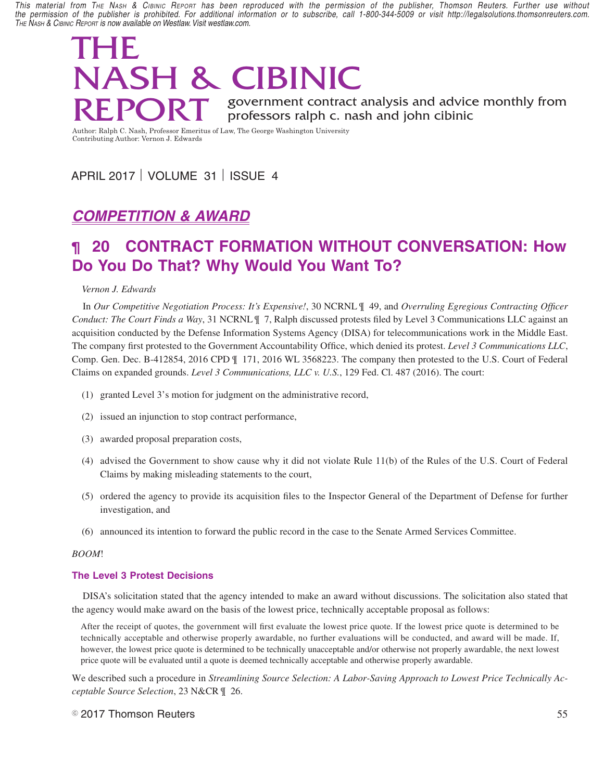*This material from The Nash & Cibinic Report has been reproduced with the permission of the publisher, Thomson Reuters. Further use without*  the permission of the publisher is prohibited. For additional information or to subscribe, call 1-800-344-5009 or visit http://legalsolutions.thomsonreuters.com. *The Nash & Cibinic Report is now available on Westlaw. Visit westlaw.com.*

### THE NASH & CIBINIC are limited. Verification of cost records believe the risks of cost relatively units and the risks of contribution of cost relatively units and the cost relatively units and the contribution of contributing REPORT government contract analysis and advice monthly from<br>Author Balab G Neeb Professor Frogity of Law The Gears Webinder University **SEFURI** professors ralph c. nash and john cibinic  $\mathbf{D}$  demands for access to the financial records, and ownership of intellectual property (patents and data). However, such relaxation of DoD rights applies to only a few of the OT prototype projects, mainly those involving products with strong commercial and where the firm contributes a significant portion of the development resources. Even in those few proj- $\mathbf{N}$ dare of  $\mathbf{C}$  contributions in future might lead to intellectual property might lead to intellectual property might lead to intellectual property might lead to intellectual property might lead to increase of in

 $\mathbf{D} \mathbf{F}$  and  $\mathbf{D} \mathbf{T}$  are government contract analysis and advice monthly from

Author: Ralph C. Nash, Professor Emeritus of Law, The George Washington University Contributing Author: Vernon J. Edwards

# APRIL 2017 | VOLUME 31 | ISSUE 4

# *Ralph C. Nash* **COMPETITION & AWARD**

### **20 CONTRACT FORMATION WITHOUT CONVERSATION: How** burden." The first on January 30, 2017, Executive Order 13771, "Reducing **¶ 20 CONTRACT FORMATION WITHOUT CONVERSATION: How Do You Do That? Why Would You Want To?**

#### $\mathbf r$  that  $\mathbf r$ ,  $\mathbf r$  is all new regulations, including regulations, including regulations, including regulations,  $\mathbf r$ *Vernon J. Edwards*

In Our Competitive Negotiation Process: It's Expensive!, 30 NCRNL ¶ 49, and Overruling Egregious Contracting Officer Conduct: The Court Finds a Way, 31 NCRNL ¶ 7, Ralph discussed protests filed by Level 3 Communications LLC against an acquisition conducted by the Defense Information Systems Agency (DISA) for telecommunications work in the Middle East. The company first protested to the Government Accountability Office, which denied its protest. Level 3 Communications LLC, **Example 22 Cover of** Comp. Gen. Dec. B-412854, 2016 CPD  $\parallel$  171, 2016 WL 3568223. The company then protested to the U.S. Court of Federal Claims on expanded grounds. *Level 3 Communications, LLC v. U.S.*, 129 Fed. Cl. 487 (2016). The court:

- to agency organization, management, or personnel." (1) granted Level 3's motion for judgment on the administrative record,
- $T_{\rm eff}$  second order, is superconducted on  $\mathcal{L}_{\rm eff}$ (2) issued an injunction to stop contract performance,
- (3) awarded proposal preparation costs,
- (4) advised the Government to show cause why it did not violate Rule  $11(b)$  of the Rules of the U.S. Court of Federal Claims by making misleading statements to the court,
	- (5) ordered the agency to provide its acquisition files to the Inspector General of the Department of Defense for further  $\sum_{i=1}^{n}$  investigation, and least one official. . . from each constituent agency's Regulatory Reform Task Force.
	- (6) announced its intention to forward the public record in the case to the Senate Armed Services Committee.

#### $\mathbb{R}^{\text{c}}$  and  $\mathbb{R}^{\text{c}}$  $W$ <sub>th</sub>  $\omega$ <sub>m</sub> *BOOM*!

## **ally been treated as regulations** that go the Office of Information and Information and Information and Information and Information and Information and Information and Information and Information and Information and Infor

DISA's solicitation stated that the agency intended to make an award without discussions. The solicitation also stated that the agency would make award on the basis of the lowest price, technically acceptable proposal as follows:

After the receipt of quotes, the government will first evaluate the lowest price quote. If the lowest price quote is determined to be technically acceptable and otherwise properly awardable, no further evaluations will be conducted, and award will be made. If, however, the lowest price quote is determined to be technically unacceptable and/or otherwise not properly awardable, the next lowest price quote will be evaluated until a quote is deemed technically acceptable and otherwise properly awardable.

ceptable Source Selection, 23 N&CR  $\parallel$  26. We described such a procedure in *Streamlining Source Selection: A Labor-Saving Approach to Lowest Price Technically Ac-*

#### $\degree$  2017 Thomson Reuters  $55$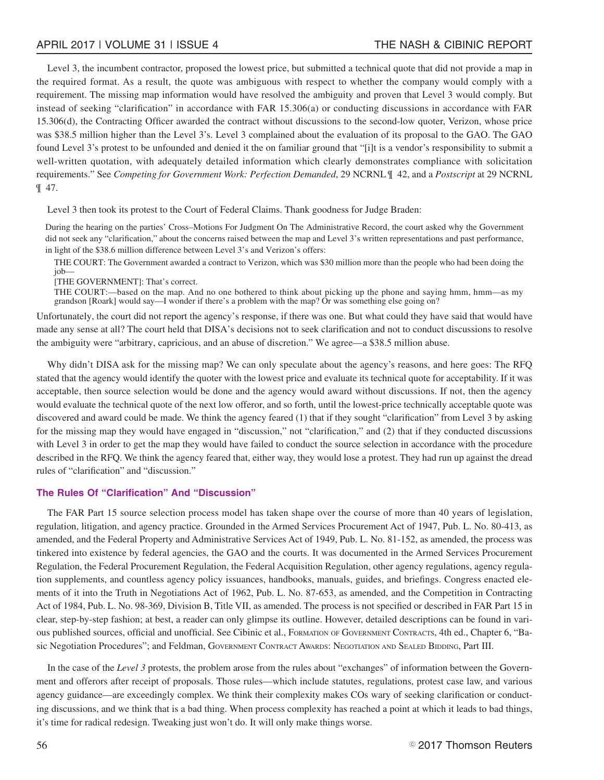Level 3, the incumbent contractor, proposed the lowest price, but submitted a technical quote that did not provide a map in the required format. As a result, the quote was ambiguous with respect to whether the company would comply with a requirement. The missing map information would have resolved the ambiguity and proven that Level 3 would comply. But instead of seeking "clarification" in accordance with FAR 15.306(a) or conducting discussions in accordance with FAR 15.306(d), the Contracting Officer awarded the contract without discussions to the second-low quoter, Verizon, whose price was \$38.5 million higher than the Level 3's. Level 3 complained about the evaluation of its proposal to the GAO. The GAO found Level 3's protest to be unfounded and denied it the on familiar ground that "[i]t is a vendor's responsibility to submit a well-written quotation, with adequately detailed information which clearly demonstrates compliance with solicitation requirements." See *Competing for Government Work: Perfection Demanded*, 29 NCRNL ¶ 42, and a *Postscript* at 29 NCRNL ¶ 47.

Level 3 then took its protest to the Court of Federal Claims. Thank goodness for Judge Braden:

During the hearing on the parties' Cross–Motions For Judgment On The Administrative Record, the court asked why the Government did not seek any "clarification," about the concerns raised between the map and Level 3's written representations and past performance, in light of the \$38.6 million difference between Level 3's and Verizon's offers:

THE COURT: The Government awarded a contract to Verizon, which was \$30 million more than the people who had been doing the job—

[THE GOVERNMENT]: That's correct.

THE COURT:—based on the map. And no one bothered to think about picking up the phone and saying hmm, hmm—as my grandson [Roark] would say—I wonder if there's a problem with the map? Or was something else going on?

Unfortunately, the court did not report the agency's response, if there was one. But what could they have said that would have made any sense at all? The court held that DISA's decisions not to seek clarification and not to conduct discussions to resolve the ambiguity were "arbitrary, capricious, and an abuse of discretion." We agree—a \$38.5 million abuse.

Why didn't DISA ask for the missing map? We can only speculate about the agency's reasons, and here goes: The RFQ stated that the agency would identify the quoter with the lowest price and evaluate its technical quote for acceptability. If it was acceptable, then source selection would be done and the agency would award without discussions. If not, then the agency would evaluate the technical quote of the next low offeror, and so forth, until the lowest-price technically acceptable quote was discovered and award could be made. We think the agency feared (1) that if they sought "clarification" from Level 3 by asking for the missing map they would have engaged in "discussion," not "clarification," and (2) that if they conducted discussions with Level 3 in order to get the map they would have failed to conduct the source selection in accordance with the procedure described in the RFQ. We think the agency feared that, either way, they would lose a protest. They had run up against the dread rules of "clarification" and "discussion."

#### **The Rules Of "Clarification" And "Discussion"**

The FAR Part 15 source selection process model has taken shape over the course of more than 40 years of legislation, regulation, litigation, and agency practice. Grounded in the Armed Services Procurement Act of 1947, Pub. L. No. 80-413, as amended, and the Federal Property and Administrative Services Act of 1949, Pub. L. No. 81-152, as amended, the process was tinkered into existence by federal agencies, the GAO and the courts. It was documented in the Armed Services Procurement Regulation, the Federal Procurement Regulation, the Federal Acquisition Regulation, other agency regulations, agency regulation supplements, and countless agency policy issuances, handbooks, manuals, guides, and briefings. Congress enacted elements of it into the Truth in Negotiations Act of 1962, Pub. L. No. 87-653, as amended, and the Competition in Contracting Act of 1984, Pub. L. No. 98-369, Division B, Title VII, as amended. The process is not specified or described in FAR Part 15 in clear, step-by-step fashion; at best, a reader can only glimpse its outline. However, detailed descriptions can be found in various published sources, official and unofficial. See Cibinic et al., FORMATION OF GOVERNMENT CONTRACTS, 4th ed., Chapter 6, "Basic Negotiation Procedures"; and Feldman, GOVERNMENT CONTRACT AWARDS: NEGOTIATION AND SEALED BIDDING, Part III.

In the case of the *Level 3* protests, the problem arose from the rules about "exchanges" of information between the Government and offerors after receipt of proposals. Those rules—which include statutes, regulations, protest case law, and various agency guidance—are exceedingly complex. We think their complexity makes COs wary of seeking clarification or conducting discussions, and we think that is a bad thing. When process complexity has reached a point at which it leads to bad things, it's time for radical redesign. Tweaking just won't do. It will only make things worse.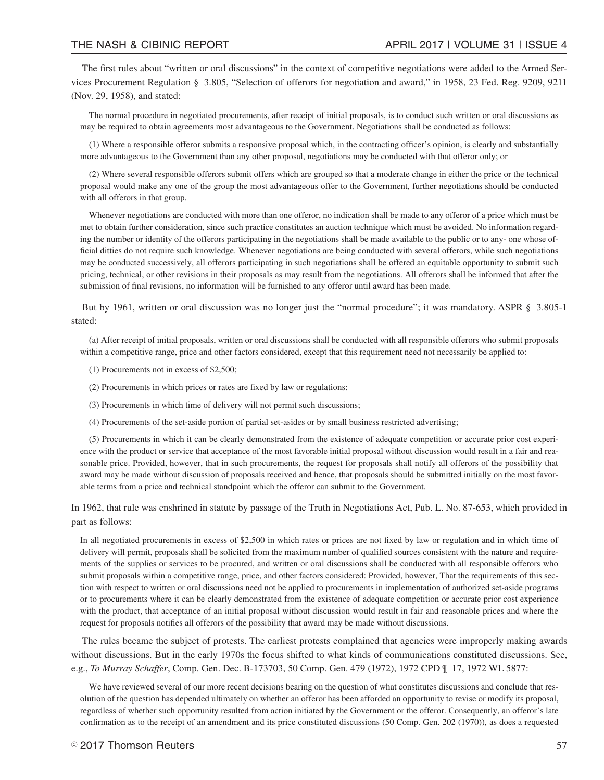The first rules about "written or oral discussions" in the context of competitive negotiations were added to the Armed Services Procurement Regulation § 3.805, "Selection of offerors for negotiation and award," in 1958, 23 Fed. Reg. 9209, 9211 (Nov. 29, 1958), and stated:

The normal procedure in negotiated procurements, after receipt of initial proposals, is to conduct such written or oral discussions as may be required to obtain agreements most advantageous to the Government. Negotiations shall be conducted as follows:

(1) Where a responsible offeror submits a responsive proposal which, in the contracting officer's opinion, is clearly and substantially more advantageous to the Government than any other proposal, negotiations may be conducted with that offeror only; or

(2) Where several responsible offerors submit offers which are grouped so that a moderate change in either the price or the technical proposal would make any one of the group the most advantageous offer to the Government, further negotiations should be conducted with all offerors in that group.

Whenever negotiations are conducted with more than one offeror, no indication shall be made to any offeror of a price which must be met to obtain further consideration, since such practice constitutes an auction technique which must be avoided. No information regarding the number or identity of the offerors participating in the negotiations shall be made available to the public or to any- one whose official ditties do not require such knowledge. Whenever negotiations are being conducted with several offerors, while such negotiations may be conducted successively, all offerors participating in such negotiations shall be offered an equitable opportunity to submit such pricing, technical, or other revisions in their proposals as may result from the negotiations. All offerors shall be informed that after the submission of final revisions, no information will be furnished to any offeror until award has been made.

But by 1961, written or oral discussion was no longer just the "normal procedure"; it was mandatory. ASPR § 3.805-1 stated:

(a) After receipt of initial proposals, written or oral discussions shall be conducted with all responsible offerors who submit proposals within a competitive range, price and other factors considered, except that this requirement need not necessarily be applied to:

- (1) Procurements not in excess of \$2,500;
- (2) Procurements in which prices or rates are fixed by law or regulations:
- (3) Procurements in which time of delivery will not permit such discussions;
- (4) Procurements of the set-aside portion of partial set-asides or by small business restricted advertising;

(5) Procurements in which it can be clearly demonstrated from the existence of adequate competition or accurate prior cost experience with the product or service that acceptance of the most favorable initial proposal without discussion would result in a fair and reasonable price. Provided, however, that in such procurements, the request for proposals shall notify all offerors of the possibility that award may be made without discussion of proposals received and hence, that proposals should be submitted initially on the most favorable terms from a price and technical standpoint which the offeror can submit to the Government.

In 1962, that rule was enshrined in statute by passage of the Truth in Negotiations Act, Pub. L. No. 87-653, which provided in part as follows:

In all negotiated procurements in excess of \$2,500 in which rates or prices are not fixed by law or regulation and in which time of delivery will permit, proposals shall be solicited from the maximum number of qualified sources consistent with the nature and requirements of the supplies or services to be procured, and written or oral discussions shall be conducted with all responsible offerors who submit proposals within a competitive range, price, and other factors considered: Provided, however, That the requirements of this section with respect to written or oral discussions need not be applied to procurements in implementation of authorized set-aside programs or to procurements where it can be clearly demonstrated from the existence of adequate competition or accurate prior cost experience with the product, that acceptance of an initial proposal without discussion would result in fair and reasonable prices and where the request for proposals notifies all offerors of the possibility that award may be made without discussions.

The rules became the subject of protests. The earliest protests complained that agencies were improperly making awards without discussions. But in the early 1970s the focus shifted to what kinds of communications constituted discussions. See, e.g., *To Murray Schaffer*, Comp. Gen. Dec. B-173703, 50 Comp. Gen. 479 (1972), 1972 CPD ¶ 17, 1972 WL 5877:

We have reviewed several of our more recent decisions bearing on the question of what constitutes discussions and conclude that resolution of the question has depended ultimately on whether an offeror has been afforded an opportunity to revise or modify its proposal, regardless of whether such opportunity resulted from action initiated by the Government or the offeror. Consequently, an offeror's late confirmation as to the receipt of an amendment and its price constituted discussions (50 Comp. Gen. 202 (1970)), as does a requested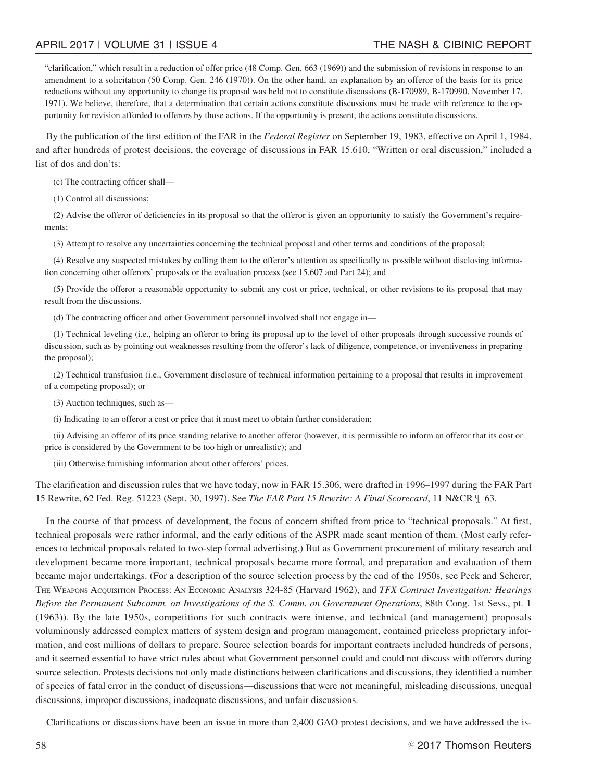#### APRIL 2017 | VOLUME 31 | ISSUE 4 THE NASH & CIBINIC REPORT

"clarification," which result in a reduction of offer price (48 Comp. Gen. 663 (1969)) and the submission of revisions in response to an amendment to a solicitation (50 Comp. Gen. 246 (1970)). On the other hand, an explanation by an offeror of the basis for its price reductions without any opportunity to change its proposal was held not to constitute discussions (B-170989, B-170990, November 17, 1971). We believe, therefore, that a determination that certain actions constitute discussions must be made with reference to the opportunity for revision afforded to offerors by those actions. If the opportunity is present, the actions constitute discussions.

By the publication of the first edition of the FAR in the *Federal Register* on September 19, 1983, effective on April 1, 1984, and after hundreds of protest decisions, the coverage of discussions in FAR 15.610, "Written or oral discussion," included a list of dos and don'ts:

(c) The contracting officer shall—

(1) Control all discussions;

(2) Advise the offeror of deficiencies in its proposal so that the offeror is given an opportunity to satisfy the Government's requirements;

(3) Attempt to resolve any uncertainties concerning the technical proposal and other terms and conditions of the proposal;

(4) Resolve any suspected mistakes by calling them to the offeror's attention as specifically as possible without disclosing information concerning other offerors' proposals or the evaluation process (see 15.607 and Part 24); and

(5) Provide the offeror a reasonable opportunity to submit any cost or price, technical, or other revisions to its proposal that may result from the discussions.

(d) The contracting officer and other Government personnel involved shall not engage in—

(1) Technical leveling (i.e., helping an offeror to bring its proposal up to the level of other proposals through successive rounds of discussion, such as by pointing out weaknesses resulting from the offeror's lack of diligence, competence, or inventiveness in preparing the proposal);

(2) Technical transfusion (i.e., Government disclosure of technical information pertaining to a proposal that results in improvement of a competing proposal); or

(3) Auction techniques, such as—

(i) Indicating to an offeror a cost or price that it must meet to obtain further consideration;

(ii) Advising an offeror of its price standing relative to another offeror (however, it is permissible to inform an offeror that its cost or price is considered by the Government to be too high or unrealistic); and

(iii) Otherwise furnishing information about other offerors' prices.

The clarification and discussion rules that we have today, now in FAR 15.306, were drafted in 1996–1997 during the FAR Part 15 Rewrite, 62 Fed. Reg. 51223 (Sept. 30, 1997). See *The FAR Part 15 Rewrite: A Final Scorecard*, 11 N&CR ¶ 63.

In the course of that process of development, the focus of concern shifted from price to "technical proposals." At first, technical proposals were rather informal, and the early editions of the ASPR made scant mention of them. (Most early references to technical proposals related to two-step formal advertising.) But as Government procurement of military research and development became more important, technical proposals became more formal, and preparation and evaluation of them became major undertakings. (For a description of the source selection process by the end of the 1950s, see Peck and Scherer, THE WEAPONS ACQUISITION PROCESS: AN ECONOMIC ANALYSIS 324-85 (Harvard 1962), and *TFX Contract Investigation: Hearings Before the Permanent Subcomm. on Investigations of the S. Comm. on Government Operations*, 88th Cong. 1st Sess., pt. 1 (1963)). By the late 1950s, competitions for such contracts were intense, and technical (and management) proposals voluminously addressed complex matters of system design and program management, contained priceless proprietary information, and cost millions of dollars to prepare. Source selection boards for important contracts included hundreds of persons, and it seemed essential to have strict rules about what Government personnel could and could not discuss with offerors during source selection. Protests decisions not only made distinctions between clarifications and discussions, they identified a number of species of fatal error in the conduct of discussions—discussions that were not meaningful, misleading discussions, unequal discussions, improper discussions, inadequate discussions, and unfair discussions.

Clarifications or discussions have been an issue in more than 2,400 GAO protest decisions, and we have addressed the is-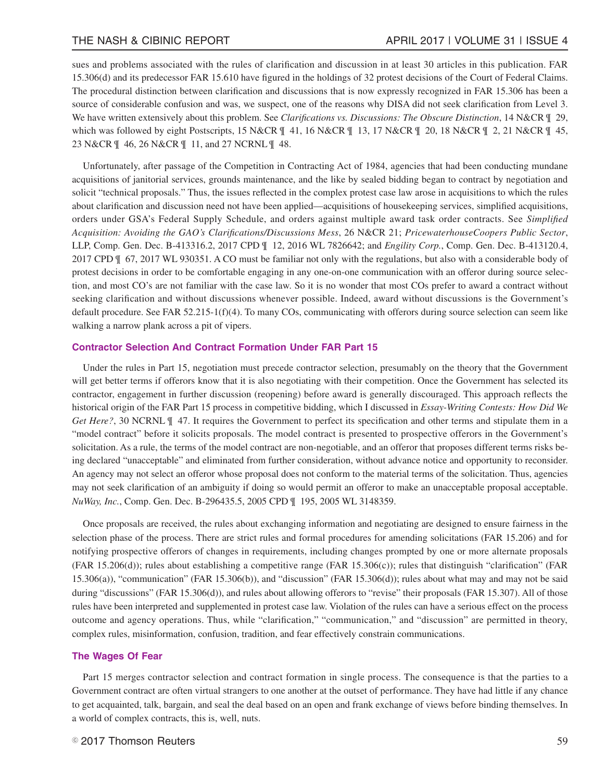sues and problems associated with the rules of clarification and discussion in at least 30 articles in this publication. FAR 15.306(d) and its predecessor FAR 15.610 have figured in the holdings of 32 protest decisions of the Court of Federal Claims. The procedural distinction between clarification and discussions that is now expressly recognized in FAR 15.306 has been a source of considerable confusion and was, we suspect, one of the reasons why DISA did not seek clarification from Level 3. We have written extensively about this problem. See *Clarifications vs. Discussions: The Obscure Distinction*, 14 N&CR  $\parallel$  29, which was followed by eight Postscripts, 15 N&CR ¶ 41, 16 N&CR ¶ 13, 17 N&CR ¶ 20, 18 N&CR ¶ 2, 21 N&CR ¶ 45, 23 N&CR ¶ 46, 26 N&CR ¶ 11, and 27 NCRNL ¶ 48.

Unfortunately, after passage of the Competition in Contracting Act of 1984, agencies that had been conducting mundane acquisitions of janitorial services, grounds maintenance, and the like by sealed bidding began to contract by negotiation and solicit "technical proposals." Thus, the issues reflected in the complex protest case law arose in acquisitions to which the rules about clarification and discussion need not have been applied—acquisitions of housekeeping services, simplified acquisitions, orders under GSA's Federal Supply Schedule, and orders against multiple award task order contracts. See *Simplified Acquisition: Avoiding the GAO's Clarifications/Discussions Mess*, 26 N&CR 21; *PricewaterhouseCoopers Public Sector*, LLP, Comp. Gen. Dec. B-413316.2, 2017 CPD ¶ 12, 2016 WL 7826642; and *Engility Corp.*, Comp. Gen. Dec. B-413120.4, 2017 CPD ¶ 67, 2017 WL 930351. A CO must be familiar not only with the regulations, but also with a considerable body of protest decisions in order to be comfortable engaging in any one-on-one communication with an offeror during source selection, and most CO's are not familiar with the case law. So it is no wonder that most COs prefer to award a contract without seeking clarification and without discussions whenever possible. Indeed, award without discussions is the Government's default procedure. See FAR 52.215-1(f)(4). To many COs, communicating with offerors during source selection can seem like walking a narrow plank across a pit of vipers.

#### **Contractor Selection And Contract Formation Under FAR Part 15**

Under the rules in Part 15, negotiation must precede contractor selection, presumably on the theory that the Government will get better terms if offerors know that it is also negotiating with their competition. Once the Government has selected its contractor, engagement in further discussion (reopening) before award is generally discouraged. This approach reflects the historical origin of the FAR Part 15 process in competitive bidding, which I discussed in *Essay-Writing Contests: How Did We Get Here?*, 30 NCRNL  $\parallel$  47. It requires the Government to perfect its specification and other terms and stipulate them in a "model contract" before it solicits proposals. The model contract is presented to prospective offerors in the Government's solicitation. As a rule, the terms of the model contract are non-negotiable, and an offeror that proposes different terms risks being declared "unacceptable" and eliminated from further consideration, without advance notice and opportunity to reconsider. An agency may not select an offeror whose proposal does not conform to the material terms of the solicitation. Thus, agencies may not seek clarification of an ambiguity if doing so would permit an offeror to make an unacceptable proposal acceptable. *NuWay, Inc.*, Comp. Gen. Dec. B-296435.5, 2005 CPD ¶ 195, 2005 WL 3148359.

Once proposals are received, the rules about exchanging information and negotiating are designed to ensure fairness in the selection phase of the process. There are strict rules and formal procedures for amending solicitations (FAR 15.206) and for notifying prospective offerors of changes in requirements, including changes prompted by one or more alternate proposals  $(FAR 15.206(d))$ ; rules about establishing a competitive range  $(FAR 15.306(c))$ ; rules that distinguish "clarification" (FAR 15.306(a)), "communication" (FAR 15.306(b)), and "discussion" (FAR 15.306(d)); rules about what may and may not be said during "discussions" (FAR 15.306(d)), and rules about allowing offerors to "revise" their proposals (FAR 15.307). All of those rules have been interpreted and supplemented in protest case law. Violation of the rules can have a serious effect on the process outcome and agency operations. Thus, while "clarification," "communication," and "discussion" are permitted in theory, complex rules, misinformation, confusion, tradition, and fear effectively constrain communications.

#### **The Wages Of Fear**

Part 15 merges contractor selection and contract formation in single process. The consequence is that the parties to a Government contract are often virtual strangers to one another at the outset of performance. They have had little if any chance to get acquainted, talk, bargain, and seal the deal based on an open and frank exchange of views before binding themselves. In a world of complex contracts, this is, well, nuts.